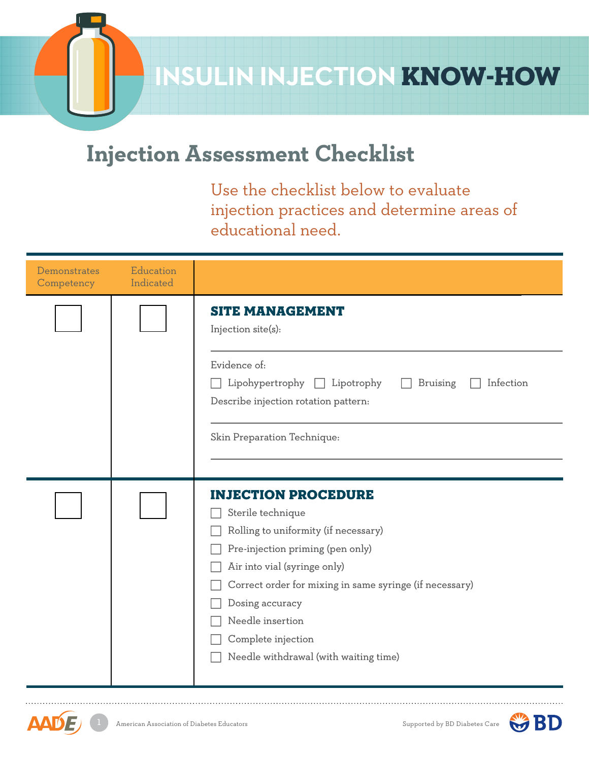

**INSULIN INJECTION KNOW-HOW** 

## **Injection Assessment Checklist**

Use the checklist below to evaluate injection practices and determine areas of educational need.

| Demonstrates<br>Competency | Education<br>Indicated |                                                                                                                                                                        |  |  |  |
|----------------------------|------------------------|------------------------------------------------------------------------------------------------------------------------------------------------------------------------|--|--|--|
|                            |                        | <b>SITE MANAGEMENT</b><br>Injection site(s):                                                                                                                           |  |  |  |
|                            |                        | Evidence of:<br>Lipohypertrophy $\Box$ Lipotrophy<br>Infection<br><b>Bruising</b><br>Describe injection rotation pattern:                                              |  |  |  |
|                            |                        | Skin Preparation Technique:                                                                                                                                            |  |  |  |
|                            |                        |                                                                                                                                                                        |  |  |  |
|                            |                        | <b>INJECTION PROCEDURE</b>                                                                                                                                             |  |  |  |
|                            |                        |                                                                                                                                                                        |  |  |  |
|                            |                        |                                                                                                                                                                        |  |  |  |
|                            |                        |                                                                                                                                                                        |  |  |  |
|                            |                        | Correct order for mixing in same syringe (if necessary)                                                                                                                |  |  |  |
|                            |                        | Dosing accuracy                                                                                                                                                        |  |  |  |
|                            |                        | Needle insertion                                                                                                                                                       |  |  |  |
|                            |                        | Complete injection                                                                                                                                                     |  |  |  |
|                            |                        |                                                                                                                                                                        |  |  |  |
|                            |                        | Sterile technique<br>Rolling to uniformity (if necessary)<br>Pre-injection priming (pen only)<br>Air into vial (syringe only)<br>Needle withdrawal (with waiting time) |  |  |  |